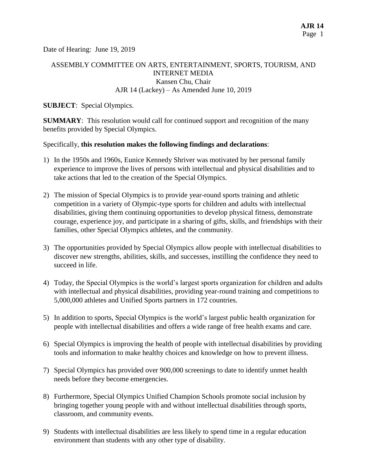Date of Hearing: June 19, 2019

# ASSEMBLY COMMITTEE ON ARTS, ENTERTAINMENT, SPORTS, TOURISM, AND INTERNET MEDIA Kansen Chu, Chair AJR 14 (Lackey) – As Amended June 10, 2019

### **SUBJECT**: Special Olympics.

**SUMMARY**: This resolution would call for continued support and recognition of the many benefits provided by Special Olympics.

### Specifically, **this resolution makes the following findings and declarations**:

- 1) In the 1950s and 1960s, Eunice Kennedy Shriver was motivated by her personal family experience to improve the lives of persons with intellectual and physical disabilities and to take actions that led to the creation of the Special Olympics.
- 2) The mission of Special Olympics is to provide year-round sports training and athletic competition in a variety of Olympic-type sports for children and adults with intellectual disabilities, giving them continuing opportunities to develop physical fitness, demonstrate courage, experience joy, and participate in a sharing of gifts, skills, and friendships with their families, other Special Olympics athletes, and the community.
- 3) The opportunities provided by Special Olympics allow people with intellectual disabilities to discover new strengths, abilities, skills, and successes, instilling the confidence they need to succeed in life.
- 4) Today, the Special Olympics is the world's largest sports organization for children and adults with intellectual and physical disabilities, providing year-round training and competitions to 5,000,000 athletes and Unified Sports partners in 172 countries.
- 5) In addition to sports, Special Olympics is the world's largest public health organization for people with intellectual disabilities and offers a wide range of free health exams and care.
- 6) Special Olympics is improving the health of people with intellectual disabilities by providing tools and information to make healthy choices and knowledge on how to prevent illness.
- 7) Special Olympics has provided over 900,000 screenings to date to identify unmet health needs before they become emergencies.
- 8) Furthermore, Special Olympics Unified Champion Schools promote social inclusion by bringing together young people with and without intellectual disabilities through sports, classroom, and community events.
- 9) Students with intellectual disabilities are less likely to spend time in a regular education environment than students with any other type of disability.